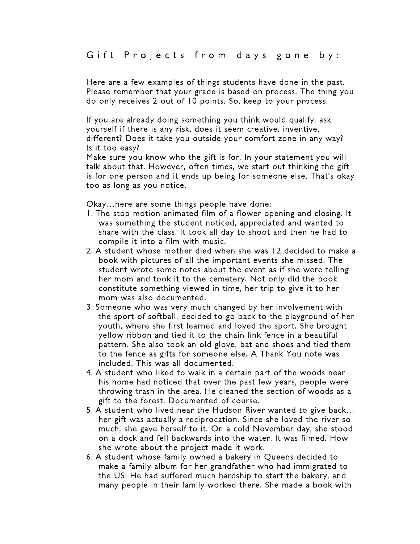Here are a few examples of things students have done in the past. Please remember that your grade is based on process. The thing you do only receives 2 out of 10 points. So, keep to your process.

If you are already doing something you think would qualify, ask yourself if there is any risk, does it seem creative, inventive, different? Does it take you outside your comfort zone in any way? Is it too easy?

Make sure you know who the gift is for. In your statement you will talk about that. However, often times, we start out thinking the gift is for one person and it ends up being for someone else. That's okay too as long as you notice.

Okay…here are some things people have done:

- 1. The stop motion animated film of a flower opening and closing. It was something the student noticed, appreciated and wanted to share with the class. It took all day to shoot and then he had to compile it into a film with music.
- 2. A student whose mother died when she was 12 decided to make a book with pictures of all the important events she missed. The student wrote some notes about the event as if she were telling her mom and took it to the cemetery. Not only did the book constitute something viewed in time, her trip to give it to her mom was also documented.
- 3. Someone who was very much changed by her involvement with the sport of softball, decided to go back to the playground of her youth, where she first learned and loved the sport. She brought yellow ribbon and tied it to the chain link fence in a beautiful pattern. She also took an old glove, bat and shoes and tied them to the fence as gifts for someone else. A Thank You note was included. This was all documented.
- 4. A student who liked to walk in a certain part of the woods near his home had noticed that over the past few years, people were throwing trash in the area. He cleaned the section of woods as a gift to the forest. Documented of course.
- 5. A student who lived near the Hudson River wanted to give back… her gift was actually a reciprocation. Since she loved the river so much, she gave herself to it. On a cold November day, she stood on a dock and fell backwards into the water. It was filmed. How she wrote about the project made it work.
- 6. A student whose family owned a bakery in Queens decided to make a family album for her grandfather who had immigrated to the US. He had suffered much hardship to start the bakery, and many people in their family worked there. She made a book with